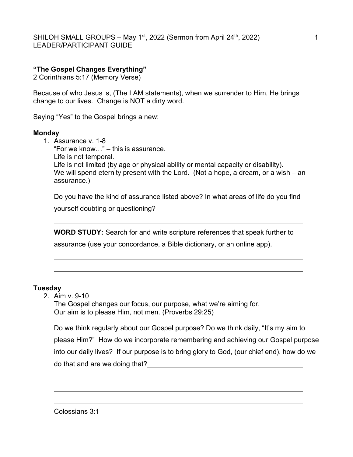SHILOH SMALL GROUPS – May 1<sup>st</sup>, 2022 (Sermon from April 24<sup>th</sup>, 2022)  $\qquad \qquad$  1 LEADER/PARTICIPANT GUIDE

# "The Gospel Changes Everything"

2 Corinthians 5:17 (Memory Verse)

Because of who Jesus is, (The I AM statements), when we surrender to Him, He brings change to our lives. Change is NOT a dirty word.

Saying "Yes" to the Gospel brings a new:

### Monday

1. Assurance v. 1-8 "For we know…" – this is assurance. Life is not temporal. Life is not limited (by age or physical ability or mental capacity or disability). We will spend eternity present with the Lord. (Not a hope, a dream, or a wish – an assurance.)

Do you have the kind of assurance listed above? In what areas of life do you find yourself doubting or questioning?

WORD STUDY: Search for and write scripture references that speak further to

assurance (use your concordance, a Bible dictionary, or an online app).

## **Tuesday**

L

L

L

L

L

2. Aim v. 9-10

The Gospel changes our focus, our purpose, what we're aiming for. Our aim is to please Him, not men. (Proverbs 29:25)

Do we think regularly about our Gospel purpose? Do we think daily, "It's my aim to please Him?" How do we incorporate remembering and achieving our Gospel purpose into our daily lives? If our purpose is to bring glory to God, (our chief end), how do we do that and are we doing that?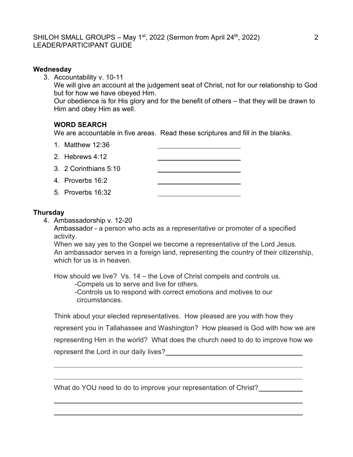## SHILOH SMALL GROUPS – May 1<sup>st</sup>, 2022 (Sermon from April 24<sup>th</sup>, 2022)  $\hspace{2cm}$  2 LEADER/PARTICIPANT GUIDE

### **Wednesday**

3. Accountability v. 10-11 We will give an account at the judgement seat of Christ, not for our relationship to God but for how we have obeyed Him. Our obedience is for His glory and for the benefit of others – that they will be drawn to Him and obey Him as well.

## WORD SEARCH

We are accountable in five areas. Read these scriptures and fill in the blanks.

1. Matthew 12:36

| 2. Hebrews $4:12$     |  |
|-----------------------|--|
| 3. 2 Corinthians 5:10 |  |
| 4. Proverbs 16:2      |  |
| 5. Proverbs 16:32     |  |

### **Thursday**

 $\overline{a}$ 

 $\overline{a}$ 

 $\overline{a}$ 

 $\overline{a}$ 

4. Ambassadorship v. 12-20

Ambassador - a person who acts as a representative or promoter of a specified activity.

 When we say yes to the Gospel we become a representative of the Lord Jesus. An ambassador serves in a foreign land, representing the country of their citizenship, which for us is in heaven.

How should we live? Vs. 14 – the Love of Christ compels and controls us. -Compels us to serve and live for others.

-Controls us to respond with correct emotions and motives to our circumstances.

Think about your elected representatives. How pleased are you with how they

represent you in Tallahassee and Washington? How pleased is God with how we are

representing Him in the world? What does the church need to do to improve how we

represent the Lord in our daily lives?

What do YOU need to do to improve your representation of Christ?